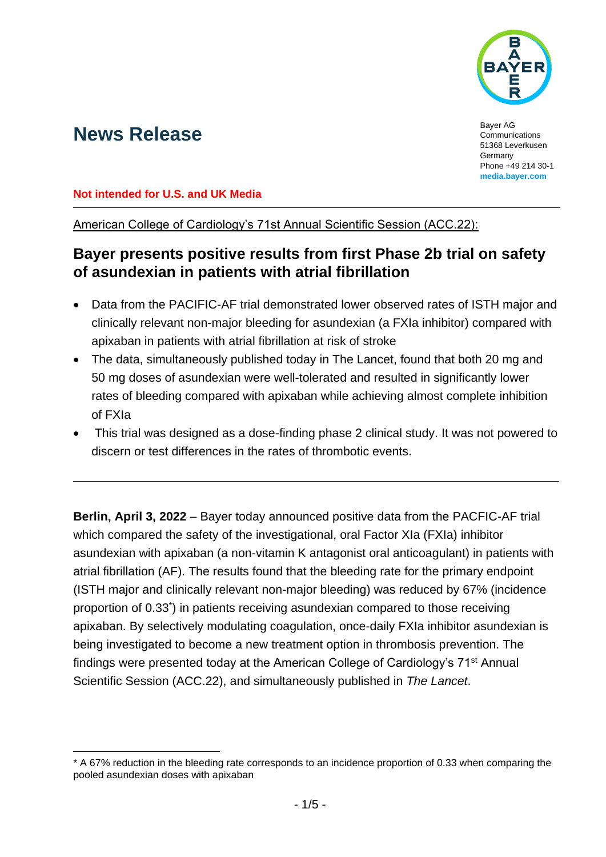

# **News Release Bayer AG** Communi

**Communications** 51368 Leverkusen Germany Phone +49 214 30-1 **[media.bayer.com](http://media.bayer.com/)**

**Not intended for U.S. and UK Media**

American College of Cardiology's 71st Annual Scientific Session (ACC.22):

## **Bayer presents positive results from first Phase 2b trial on safety of asundexian in patients with atrial fibrillation**

- Data from the PACIFIC-AF trial demonstrated lower observed rates of ISTH major and clinically relevant non-major bleeding for asundexian (a FXIa inhibitor) compared with apixaban in patients with atrial fibrillation at risk of stroke
- The data, simultaneously published today in The Lancet, found that both 20 mg and 50 mg doses of asundexian were well-tolerated and resulted in significantly lower rates of bleeding compared with apixaban while achieving almost complete inhibition of FXIa
- This trial was designed as a dose-finding phase 2 clinical study. It was not powered to discern or test differences in the rates of thrombotic events.

**Berlin, April 3, 2022** – Bayer today announced positive data from the PACFIC-AF trial which compared the safety of the investigational, oral Factor XIa (FXIa) inhibitor asundexian with apixaban (a non-vitamin K antagonist oral anticoagulant) in patients with atrial fibrillation (AF). The results found that the bleeding rate for the primary endpoint (ISTH major and clinically relevant non-major bleeding) was reduced by 67% (incidence proportion of 0.33\* ) in patients receiving asundexian compared to those receiving apixaban. By selectively modulating coagulation, once-daily FXIa inhibitor asundexian is being investigated to become a new treatment option in thrombosis prevention. The findings were presented today at the American College of Cardiology's 71st Annual Scientific Session (ACC.22), and simultaneously published in *The Lancet*.

<sup>\*</sup> A 67% reduction in the bleeding rate corresponds to an incidence proportion of 0.33 when comparing the pooled asundexian doses with apixaban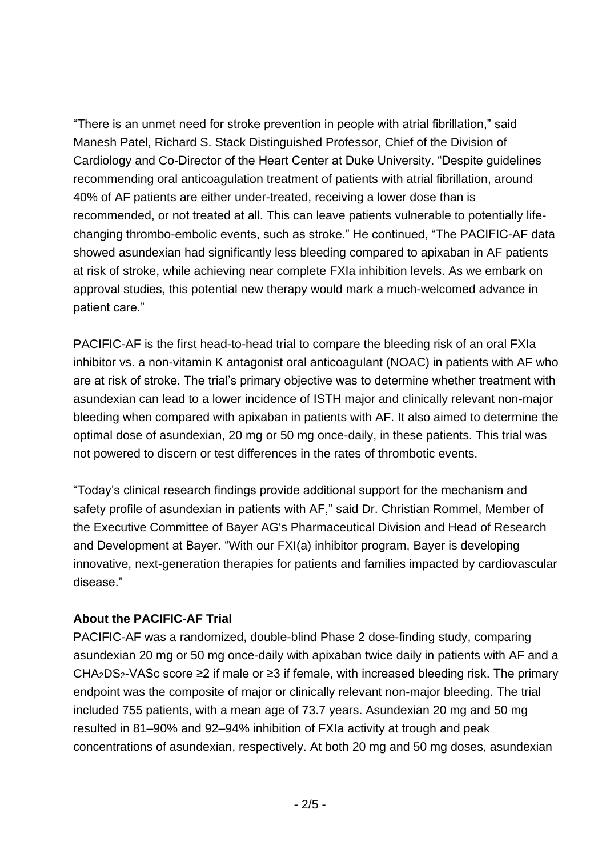"There is an unmet need for stroke prevention in people with atrial fibrillation," said Manesh Patel, Richard S. Stack Distinguished Professor, Chief of the Division of Cardiology and Co-Director of the Heart Center at Duke University. "Despite guidelines recommending oral anticoagulation treatment of patients with atrial fibrillation, around 40% of AF patients are either under-treated, receiving a lower dose than is recommended, or not treated at all. This can leave patients vulnerable to potentially lifechanging thrombo-embolic events, such as stroke." He continued, "The PACIFIC-AF data showed asundexian had significantly less bleeding compared to apixaban in AF patients at risk of stroke, while achieving near complete FXIa inhibition levels. As we embark on approval studies, this potential new therapy would mark a much-welcomed advance in patient care."

PACIFIC-AF is the first head-to-head trial to compare the bleeding risk of an oral FXIa inhibitor vs. a non-vitamin K antagonist oral anticoagulant (NOAC) in patients with AF who are at risk of stroke. The trial's primary objective was to determine whether treatment with asundexian can lead to a lower incidence of ISTH major and clinically relevant non-major bleeding when compared with apixaban in patients with AF. It also aimed to determine the optimal dose of asundexian, 20 mg or 50 mg once-daily, in these patients. This trial was not powered to discern or test differences in the rates of thrombotic events.

"Today's clinical research findings provide additional support for the mechanism and safety profile of asundexian in patients with AF," said Dr. Christian Rommel, Member of the Executive Committee of Bayer AG's Pharmaceutical Division and Head of Research and Development at Bayer. "With our FXI(a) inhibitor program, Bayer is developing innovative, next-generation therapies for patients and families impacted by cardiovascular disease."

### **About the PACIFIC-AF Trial**

PACIFIC-AF was a randomized, double-blind Phase 2 dose-finding study, comparing asundexian 20 mg or 50 mg once-daily with apixaban twice daily in patients with AF and a CHA2DS2-VASc score ≥2 if male or ≥3 if female, with increased bleeding risk. The primary endpoint was the composite of major or clinically relevant non-major bleeding. The trial included 755 patients, with a mean age of 73.7 years. Asundexian 20 mg and 50 mg resulted in 81–90% and 92–94% inhibition of FXIa activity at trough and peak concentrations of asundexian, respectively. At both 20 mg and 50 mg doses, asundexian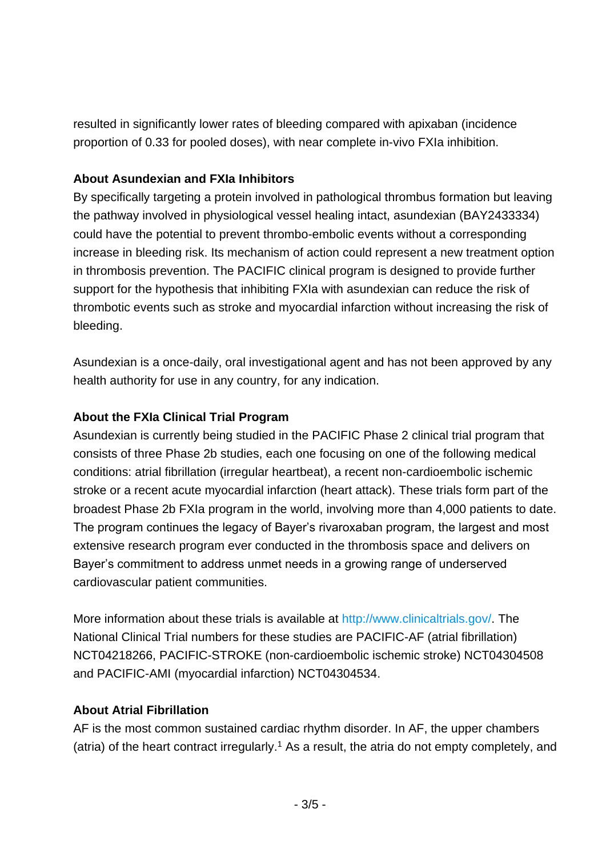resulted in significantly lower rates of bleeding compared with apixaban (incidence proportion of 0.33 for pooled doses), with near complete in-vivo FXIa inhibition.

#### **About Asundexian and FXIa Inhibitors**

By specifically targeting a protein involved in pathological thrombus formation but leaving the pathway involved in physiological vessel healing intact, asundexian (BAY2433334) could have the potential to prevent thrombo-embolic events without a corresponding increase in bleeding risk. Its mechanism of action could represent a new treatment option in thrombosis prevention. The PACIFIC clinical program is designed to provide further support for the hypothesis that inhibiting FXIa with asundexian can reduce the risk of thrombotic events such as stroke and myocardial infarction without increasing the risk of bleeding.

Asundexian is a once-daily, oral investigational agent and has not been approved by any health authority for use in any country, for any indication.

### **About the FXIa Clinical Trial Program**

Asundexian is currently being studied in the PACIFIC Phase 2 clinical trial program that consists of three Phase 2b studies, each one focusing on one of the following medical conditions: atrial fibrillation (irregular heartbeat), a recent non-cardioembolic ischemic stroke or a recent acute myocardial infarction (heart attack). These trials form part of the broadest Phase 2b FXIa program in the world, involving more than 4,000 patients to date. The program continues the legacy of Bayer's rivaroxaban program, the largest and most extensive research program ever conducted in the thrombosis space and delivers on Bayer's commitment to address unmet needs in a growing range of underserved cardiovascular patient communities.

More information about these trials is available at [http://www.clinicaltrials.gov/.](http://www.clinicaltrials.gov/) The National Clinical Trial numbers for these studies are PACIFIC-AF (atrial fibrillation) NCT04218266, PACIFIC-STROKE (non-cardioembolic ischemic stroke) NCT04304508 and PACIFIC-AMI (myocardial infarction) NCT04304534.

### **About Atrial Fibrillation**

AF is the most common sustained cardiac rhythm disorder. In AF, the upper chambers (atria) of the heart contract irregularly.<sup>1</sup> As a result, the atria do not empty completely, and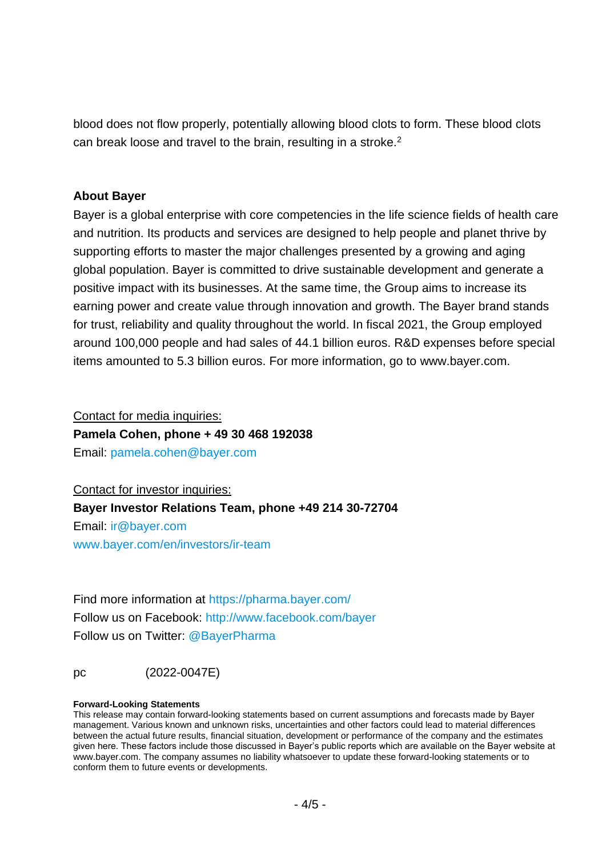blood does not flow properly, potentially allowing blood clots to form. These blood clots can break loose and travel to the brain, resulting in a stroke.<sup>2</sup>

#### **About Bayer**

Bayer is a global enterprise with core competencies in the life science fields of health care and nutrition. Its products and services are designed to help people and planet thrive by supporting efforts to master the major challenges presented by a growing and aging global population. Bayer is committed to drive sustainable development and generate a positive impact with its businesses. At the same time, the Group aims to increase its earning power and create value through innovation and growth. The Bayer brand stands for trust, reliability and quality throughout the world. In fiscal 2021, the Group employed around 100,000 people and had sales of 44.1 billion euros. R&D expenses before special items amounted to 5.3 billion euros. For more information, go to [www.bayer.com.](http://www.bayer.com/)

Contact for media inquiries:

**Pamela Cohen, phone + 49 30 468 192038**

Email: [pamela.cohen@bayer.com](mailto:pamela.cohen@bayer.com)

Contact for investor inquiries: **Bayer Investor Relations Team, phone +49 214 30-72704** Email: [ir@bayer.com](mailto:ir@bayer.com) [www.bayer.com/en/investors/ir-team](https://www.bayer.com/en/investors/ir-team)

Find more information at<https://pharma.bayer.com/> Follow us on Facebook:<http://www.facebook.com/bayer> Follow us on Twitter: [@BayerPharma](https://twitter.com/bayerpharma)

pc (2022-0047E)

#### **Forward-Looking Statements**

This release may contain forward-looking statements based on current assumptions and forecasts made by Bayer management. Various known and unknown risks, uncertainties and other factors could lead to material differences between the actual future results, financial situation, development or performance of the company and the estimates given here. These factors include those discussed in Bayer's public reports which are available on the Bayer website at [www.bayer.com.](http://www.bayer.com/) The company assumes no liability whatsoever to update these forward-looking statements or to conform them to future events or developments.